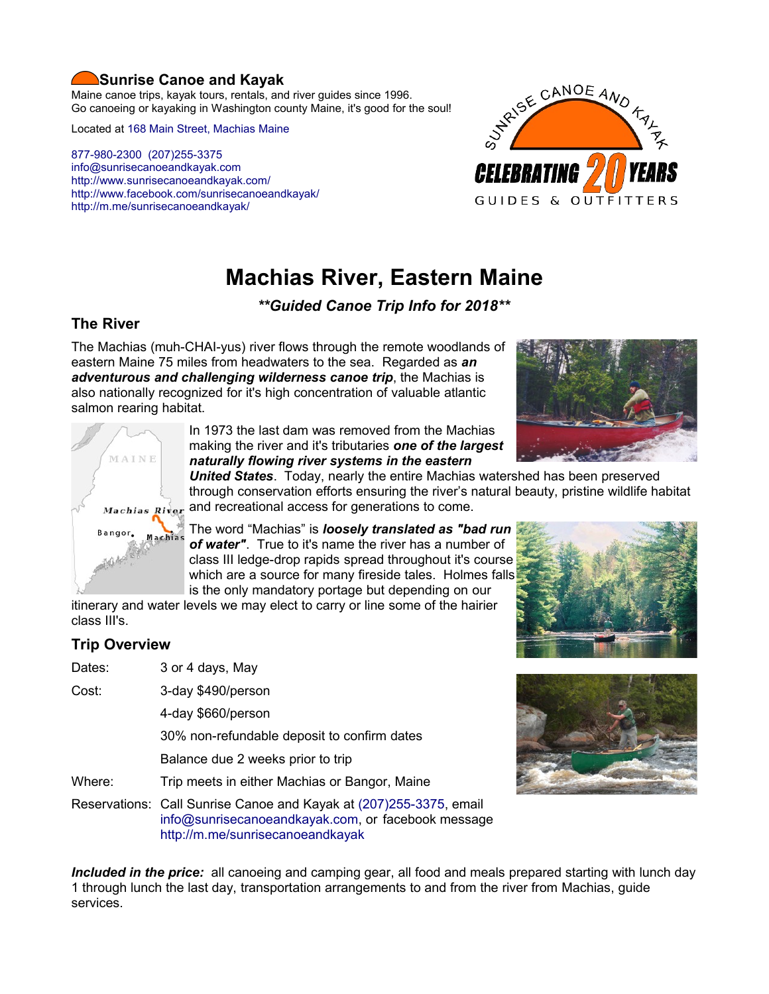# **Sunrise Canoe and Kayak**

Maine canoe trips, kayak tours, rentals, and river guides since 1996. Go canoeing or kayaking in Washington county Maine, it's good for the soul!

Located at [168 Main Street, Machias Maine](https://www.google.com/maps/place/Sunrise+Canoe+and+Kayak/@44.7213453,-67.4499306,520m/data=!3m2!1e3!4b1!4m5!3m4!1s0x4ca8cddc0180f8e7:0x696322ccd6ce6621!8m2!3d44.7213415!4d-67.4477419?hl=en)

[877-980-2300](tel:+1-877-980-2300) [\(207\)255-3375](tel:+1-207-255-3375) [info@sunrisecanoeandkayak.com](mailto:info@sunrisecanoeandkayak.com) <http://www.sunrisecanoeandkayak.com/> [http://www.facebook.com/sunrisecanoeandkayak/](https://www.facebook.com/sunrisecanoeandkayak/) <http://m.me/sunrisecanoeandkayak/>



# **Machias River, Eastern Maine**

*\*\*Guided Canoe Trip Info for 2018\*\**

# **The River**

The Machias (muh-CHAI-yus) river flows through the remote woodlands of eastern Maine 75 miles from headwaters to the sea. Regarded as *an adventurous and challenging wilderness canoe trip*, the Machias is also nationally recognized for it's high concentration of valuable atlantic salmon rearing habitat.





In 1973 the last dam was removed from the Machias making the river and it's tributaries *one of the largest naturally flowing river systems in the eastern*

*United States*. Today, nearly the entire Machias watershed has been preserved through conservation efforts ensuring the river's natural beauty, pristine wildlife habitat  $Machias$   $Rixer$  and recreational access for generations to come.

> The word "Machias" is *loosely translated as "bad run of water"*. True to it's name the river has a number of class III ledge-drop rapids spread throughout it's course which are a source for many fireside tales. Holmes falls is the only mandatory portage but depending on our

itinerary and water levels we may elect to carry or line some of the hairier class III's.

# **Trip Overview**

- Dates: 3 or 4 days, May
- Cost: 3-day \$490/person

4-day \$660/person

30% non-refundable deposit to confirm dates

Balance due 2 weeks prior to trip

Where: Trip meets in either Machias or Bangor, Maine

Reservations: Call Sunrise Canoe and Kayak at [\(207\)255-3375,](tel:+1-207-255-3375) email [info@sunrisecanoeandkayak.com,](mailto:info@sunrisecanoeandkayak.com) or facebook message <http://m.me/sunrisecanoeandkayak>

*Included in the price:* all canoeing and camping gear, all food and meals prepared starting with lunch day 1 through lunch the last day, transportation arrangements to and from the river from Machias, guide services.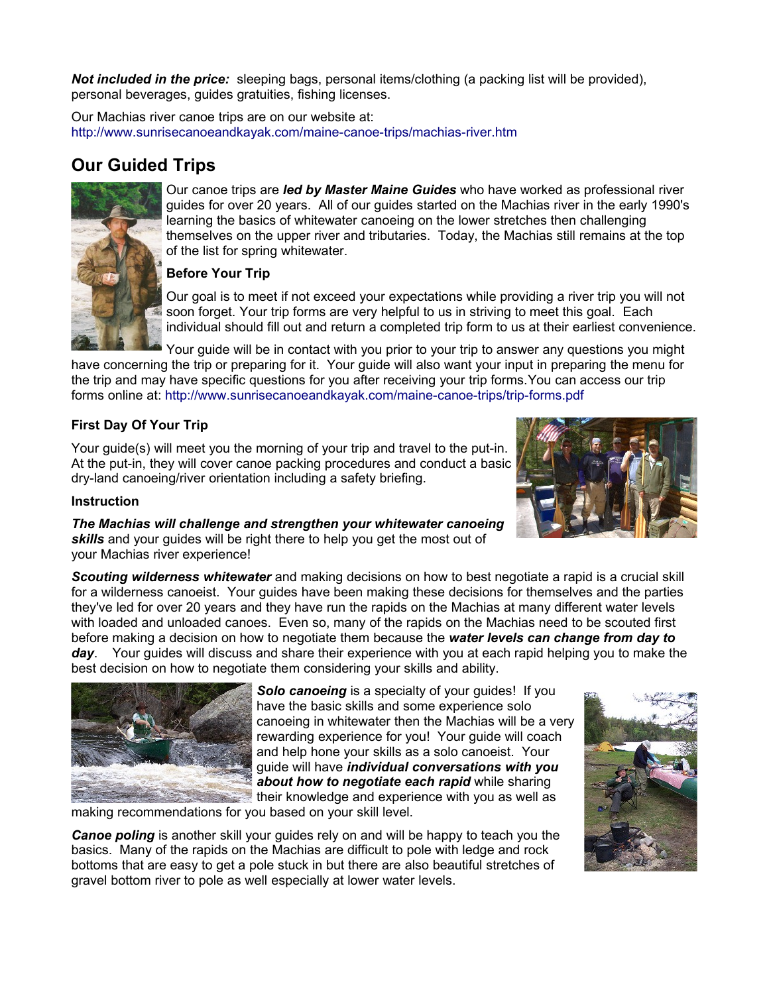*Not included in the price:* sleeping bags, personal items/clothing (a packing list will be provided), personal beverages, guides gratuities, fishing licenses.

Our Machias river canoe trips are on our website at: <http://www.sunrisecanoeandkayak.com/maine-canoe-trips/machias-river.htm>

# **Our Guided Trips**



Our canoe trips are *led by Master Maine Guides* who have worked as professional river guides for over 20 years. All of our guides started on the Machias river in the early 1990's learning the basics of whitewater canoeing on the lower stretches then challenging themselves on the upper river and tributaries. Today, the Machias still remains at the top of the list for spring whitewater.

#### **Before Your Trip**

Our goal is to meet if not exceed your expectations while providing a river trip you will not soon forget. Your trip forms are very helpful to us in striving to meet this goal. Each individual should fill out and return a completed trip form to us at their earliest convenience.

Your guide will be in contact with you prior to your trip to answer any questions you might have concerning the trip or preparing for it. Your guide will also want your input in preparing the menu for the trip and may have specific questions for you after receiving your trip forms.You can access our trip forms online at:<http://www.sunrisecanoeandkayak.com/maine-canoe-trips/trip-forms.pdf>

## **First Day Of Your Trip**

Your guide(s) will meet you the morning of your trip and travel to the put-in. At the put-in, they will cover canoe packing procedures and conduct a basic dry-land canoeing/river orientation including a safety briefing.

#### **Instruction**

*The Machias will challenge and strengthen your whitewater canoeing skills* and your guides will be right there to help you get the most out of your Machias river experience!

*Scouting wilderness whitewater* and making decisions on how to best negotiate a rapid is a crucial skill for a wilderness canoeist. Your guides have been making these decisions for themselves and the parties they've led for over 20 years and they have run the rapids on the Machias at many different water levels with loaded and unloaded canoes. Even so, many of the rapids on the Machias need to be scouted first before making a decision on how to negotiate them because the *water levels can change from day to day*. Your guides will discuss and share their experience with you at each rapid helping you to make the

best decision on how to negotiate them considering your skills and ability.



**Solo canoeing** is a specialty of your guides! If you have the basic skills and some experience solo canoeing in whitewater then the Machias will be a very rewarding experience for you! Your guide will coach and help hone your skills as a solo canoeist. Your guide will have *individual conversations with you about how to negotiate each rapid* while sharing their knowledge and experience with you as well as

making recommendations for you based on your skill level.

*Canoe poling* is another skill your guides rely on and will be happy to teach you the basics. Many of the rapids on the Machias are difficult to pole with ledge and rock bottoms that are easy to get a pole stuck in but there are also beautiful stretches of gravel bottom river to pole as well especially at lower water levels.



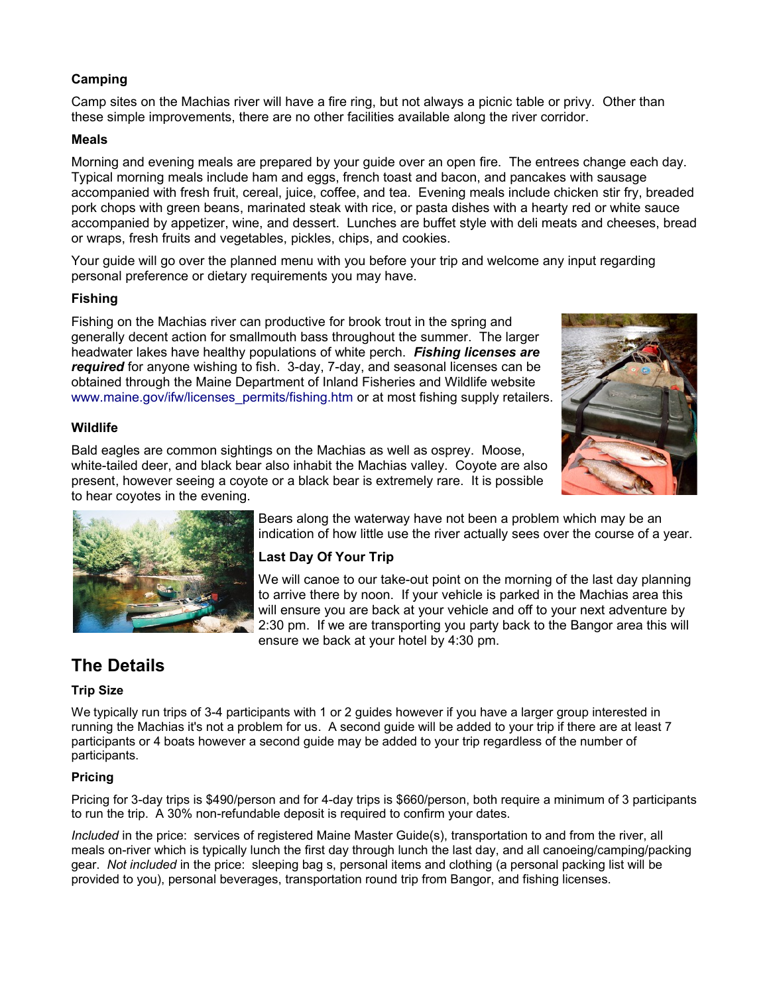## **Camping**

Camp sites on the Machias river will have a fire ring, but not always a picnic table or privy. Other than these simple improvements, there are no other facilities available along the river corridor.

#### **Meals**

Morning and evening meals are prepared by your guide over an open fire. The entrees change each day. Typical morning meals include ham and eggs, french toast and bacon, and pancakes with sausage accompanied with fresh fruit, cereal, juice, coffee, and tea. Evening meals include chicken stir fry, breaded pork chops with green beans, marinated steak with rice, or pasta dishes with a hearty red or white sauce accompanied by appetizer, wine, and dessert. Lunches are buffet style with deli meats and cheeses, bread or wraps, fresh fruits and vegetables, pickles, chips, and cookies.

Your guide will go over the planned menu with you before your trip and welcome any input regarding personal preference or dietary requirements you may have.

#### **Fishing**

Fishing on the Machias river can productive for brook trout in the spring and generally decent action for smallmouth bass throughout the summer. The larger headwater lakes have healthy populations of white perch. *Fishing licenses are required* for anyone wishing to fish. 3-day, 7-day, and seasonal licenses can be obtained through the Maine Department of Inland Fisheries and Wildlife website [www.maine.gov/ifw/licenses\\_permits/fishing.htm](http://www.maine.gov/ifw/licenses_permits/fishing.htm) or at most fishing supply retailers.



#### **Wildlife**

Bald eagles are common sightings on the Machias as well as osprey. Moose, white-tailed deer, and black bear also inhabit the Machias valley. Coyote are also present, however seeing a coyote or a black bear is extremely rare. It is possible to hear coyotes in the evening.



Bears along the waterway have not been a problem which may be an indication of how little use the river actually sees over the course of a year.

## **Last Day Of Your Trip**

We will canoe to our take-out point on the morning of the last day planning to arrive there by noon. If your vehicle is parked in the Machias area this will ensure you are back at your vehicle and off to your next adventure by 2:30 pm. If we are transporting you party back to the Bangor area this will ensure we back at your hotel by 4:30 pm.

# **The Details**

#### **Trip Size**

We typically run trips of 3-4 participants with 1 or 2 quides however if you have a larger group interested in running the Machias it's not a problem for us. A second guide will be added to your trip if there are at least 7 participants or 4 boats however a second guide may be added to your trip regardless of the number of participants.

#### **Pricing**

Pricing for 3-day trips is \$490/person and for 4-day trips is \$660/person, both require a minimum of 3 participants to run the trip. A 30% non-refundable deposit is required to confirm your dates.

*Included* in the price: services of registered Maine Master Guide(s), transportation to and from the river, all meals on-river which is typically lunch the first day through lunch the last day, and all canoeing/camping/packing gear. *Not included* in the price: sleeping bag s, personal items and clothing (a personal packing list will be provided to you), personal beverages, transportation round trip from Bangor, and fishing licenses.